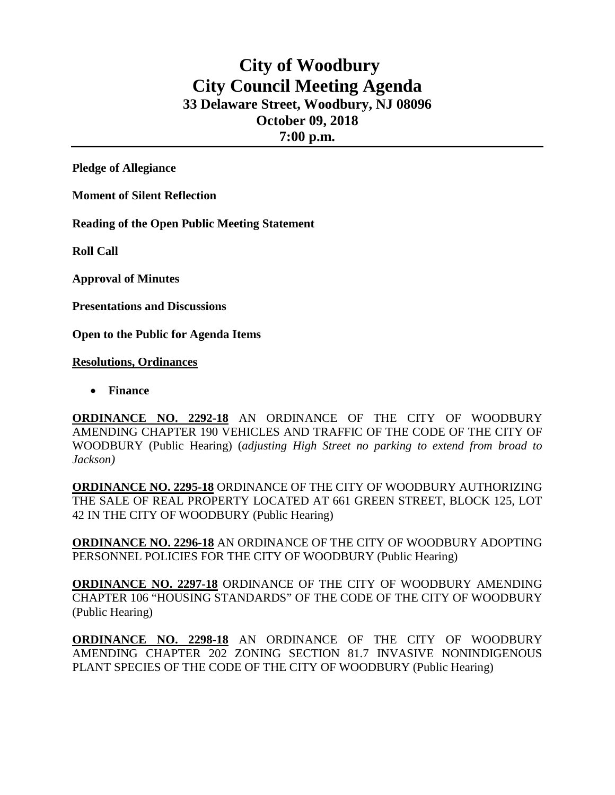## **City of Woodbury City Council Meeting Agenda 33 Delaware Street, Woodbury, NJ 08096 October 09, 2018 7:00 p.m.**

**Pledge of Allegiance**

**Moment of Silent Reflection**

**Reading of the Open Public Meeting Statement**

**Roll Call**

**Approval of Minutes**

**Presentations and Discussions**

**Open to the Public for Agenda Items**

**Resolutions, Ordinances**

• **Finance** 

**ORDINANCE NO. 2292-18** AN ORDINANCE OF THE CITY OF WOODBURY AMENDING CHAPTER 190 VEHICLES AND TRAFFIC OF THE CODE OF THE CITY OF WOODBURY (Public Hearing) (*adjusting High Street no parking to extend from broad to Jackson)*

**ORDINANCE NO. 2295-18** ORDINANCE OF THE CITY OF WOODBURY AUTHORIZING THE SALE OF REAL PROPERTY LOCATED AT 661 GREEN STREET, BLOCK 125, LOT 42 IN THE CITY OF WOODBURY (Public Hearing)

**ORDINANCE NO. 2296-18** AN ORDINANCE OF THE CITY OF WOODBURY ADOPTING PERSONNEL POLICIES FOR THE CITY OF WOODBURY (Public Hearing)

**ORDINANCE NO. 2297-18** ORDINANCE OF THE CITY OF WOODBURY AMENDING CHAPTER 106 "HOUSING STANDARDS" OF THE CODE OF THE CITY OF WOODBURY (Public Hearing)

**ORDINANCE NO. 2298-18** AN ORDINANCE OF THE CITY OF WOODBURY AMENDING CHAPTER 202 ZONING SECTION 81.7 INVASIVE NONINDIGENOUS PLANT SPECIES OF THE CODE OF THE CITY OF WOODBURY (Public Hearing)